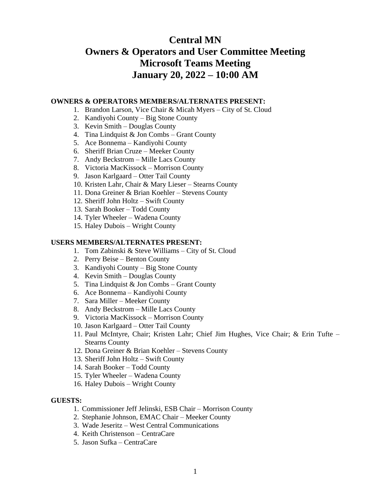# **Central MN Owners & Operators and User Committee Meeting Microsoft Teams Meeting January 20, 2022 – 10:00 AM**

## **OWNERS & OPERATORS MEMBERS/ALTERNATES PRESENT:**

- 1. Brandon Larson, Vice Chair & Micah Myers City of St. Cloud
- 2. Kandiyohi County Big Stone County
- 3. Kevin Smith Douglas County
- 4. Tina Lindquist & Jon Combs Grant County
- 5. Ace Bonnema Kandiyohi County
- 6. Sheriff Brian Cruze Meeker County
- 7. Andy Beckstrom Mille Lacs County
- 8. Victoria MacKissock Morrison County
- 9. Jason Karlgaard Otter Tail County
- 10. Kristen Lahr, Chair & Mary Lieser Stearns County
- 11. Dona Greiner & Brian Koehler Stevens County
- 12. Sheriff John Holtz Swift County
- 13. Sarah Booker Todd County
- 14. Tyler Wheeler Wadena County
- 15. Haley Dubois Wright County

#### **USERS MEMBERS/ALTERNATES PRESENT:**

- 1. Tom Zabinski & Steve Williams City of St. Cloud
- 2. Perry Beise Benton County
- 3. Kandiyohi County Big Stone County
- 4. Kevin Smith Douglas County
- 5. Tina Lindquist & Jon Combs Grant County
- 6. Ace Bonnema Kandiyohi County
- 7. Sara Miller Meeker County
- 8. Andy Beckstrom Mille Lacs County
- 9. Victoria MacKissock Morrison County
- 10. Jason Karlgaard Otter Tail County
- 11. Paul McIntyre, Chair; Kristen Lahr; Chief Jim Hughes, Vice Chair; & Erin Tufte Stearns County
- 12. Dona Greiner & Brian Koehler Stevens County
- 13. Sheriff John Holtz Swift County
- 14. Sarah Booker Todd County
- 15. Tyler Wheeler Wadena County
- 16. Haley Dubois Wright County

#### **GUESTS:**

- 1. Commissioner Jeff Jelinski, ESB Chair Morrison County
- 2. Stephanie Johnson, EMAC Chair Meeker County
- 3. Wade Jeseritz West Central Communications
- 4. Keith Christenson CentraCare
- 5. Jason Sufka CentraCare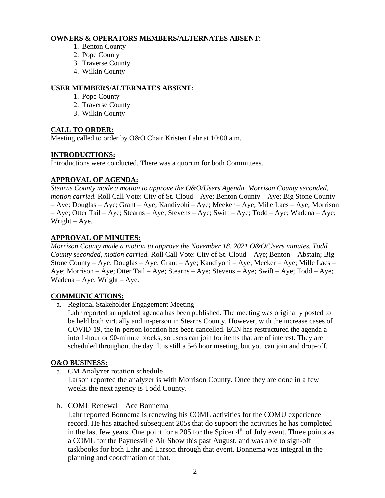# **OWNERS & OPERATORS MEMBERS/ALTERNATES ABSENT:**

- 1. Benton County
- 2. Pope County
- 3. Traverse County
- 4. Wilkin County

# **USER MEMBERS/ALTERNATES ABSENT:**

- 1. Pope County
- 2. Traverse County
- 3. Wilkin County

# **CALL TO ORDER:**

Meeting called to order by O&O Chair Kristen Lahr at 10:00 a.m.

# **INTRODUCTIONS:**

Introductions were conducted. There was a quorum for both Committees.

# **APPROVAL OF AGENDA:**

*Stearns County made a motion to approve the O&O/Users Agenda. Morrison County seconded, motion carried.* Roll Call Vote: City of St. Cloud – Aye; Benton County – Aye; Big Stone County – Aye; Douglas – Aye; Grant – Aye; Kandiyohi – Aye; Meeker – Aye; Mille Lacs – Aye; Morrison – Aye; Otter Tail – Aye; Stearns – Aye; Stevens – Aye; Swift – Aye; Todd – Aye; Wadena – Aye; Wright – Aye.

# **APPROVAL OF MINUTES:**

*Morrison County made a motion to approve the November 18, 2021 O&O/Users minutes. Todd County seconded, motion carried.* Roll Call Vote: City of St. Cloud – Aye; Benton – Abstain; Big Stone County – Aye; Douglas – Aye; Grant – Aye; Kandiyohi – Aye; Meeker – Aye; Mille Lacs – Aye; Morrison – Aye; Otter Tail – Aye; Stearns – Aye; Stevens – Aye; Swift – Aye; Todd – Aye; Wadena – Aye; Wright – Aye.

## **COMMUNICATIONS:**

a. Regional Stakeholder Engagement Meeting

Lahr reported an updated agenda has been published. The meeting was originally posted to be held both virtually and in-person in Stearns County. However, with the increase cases of COVID-19, the in-person location has been cancelled. ECN has restructured the agenda a into 1-hour or 90-minute blocks, so users can join for items that are of interest. They are scheduled throughout the day. It is still a 5-6 hour meeting, but you can join and drop-off.

## **O&O BUSINESS:**

a. CM Analyzer rotation schedule

Larson reported the analyzer is with Morrison County. Once they are done in a few weeks the next agency is Todd County.

b. COML Renewal – Ace Bonnema

Lahr reported Bonnema is renewing his COML activities for the COMU experience record. He has attached subsequent 205s that do support the activities he has completed in the last few years. One point for a 205 for the Spicer  $4<sup>th</sup>$  of July event. Three points as a COML for the Paynesville Air Show this past August, and was able to sign-off taskbooks for both Lahr and Larson through that event. Bonnema was integral in the planning and coordination of that.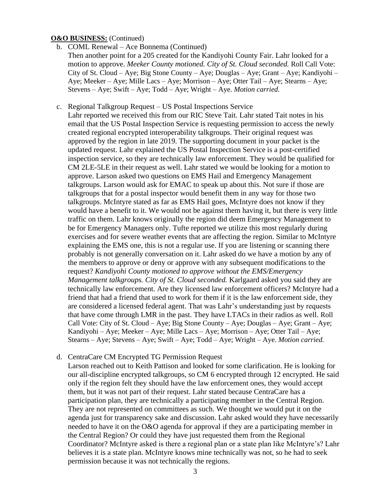#### **O&O BUSINESS:** (Continued)

- b. COML Renewal Ace Bonnema (Continued)
	- Then another point for a 205 created for the Kandiyohi County Fair. Lahr looked for a motion to approve. *Meeker County motioned. City of St. Cloud seconded.* Roll Call Vote: City of St. Cloud – Aye; Big Stone County – Aye; Douglas – Aye; Grant – Aye; Kandiyohi – Aye; Meeker – Aye; Mille Lacs – Aye; Morrison – Aye; Otter Tail – Aye; Stearns – Aye; Stevens – Aye; Swift – Aye; Todd – Aye; Wright – Aye. *Motion carried.*
- c. Regional Talkgroup Request US Postal Inspections Service

Lahr reported we received this from our RIC Steve Tait. Lahr stated Tait notes in his email that the US Postal Inspection Service is requesting permission to access the newly created regional encrypted interoperability talkgroups. Their original request was approved by the region in late 2019. The supporting document in your packet is the updated request. Lahr explained the US Postal Inspection Service is a post-certified inspection service, so they are technically law enforcement. They would be qualified for CM 2LE-5LE in their request as well. Lahr stated we would be looking for a motion to approve. Larson asked two questions on EMS Hail and Emergency Management talkgroups. Larson would ask for EMAC to speak up about this. Not sure if those are talkgroups that for a postal inspector would benefit them in any way for those two talkgroups. McIntyre stated as far as EMS Hail goes, McIntyre does not know if they would have a benefit to it. We would not be against them having it, but there is very little traffic on them. Lahr knows originally the region did deem Emergency Management to be for Emergency Managers only. Tufte reported we utilize this most regularly during exercises and for severe weather events that are affecting the region. Similar to McIntyre explaining the EMS one, this is not a regular use. If you are listening or scanning there probably is not generally conversation on it. Lahr asked do we have a motion by any of the members to approve or deny or approve with any subsequent modifications to the request? *Kandiyohi County motioned to approve without the EMS/Emergency Management talkgroups. City of St. Cloud seconded.* Karlgaard asked you said they are technically law enforcement. Are they licensed law enforcement officers? McIntyre had a friend that had a friend that used to work for them if it is the law enforcement side, they are considered a licensed federal agent. That was Lahr's understanding just by requests that have come through LMR in the past. They have LTACs in their radios as well. Roll Call Vote: City of St. Cloud – Aye; Big Stone County – Aye; Douglas – Aye; Grant – Aye; Kandiyohi – Aye; Meeker – Aye; Mille Lacs – Aye; Morrison – Aye; Otter Tail – Aye; Stearns – Aye; Stevens – Aye; Swift – Aye; Todd – Aye; Wright – Aye. *Motion carried.*

## d. CentraCare CM Encrypted TG Permission Request

Larson reached out to Keith Pattison and looked for some clarification. He is looking for our all-discipline encrypted talkgroups, so CM 6 encrypted through 12 encrypted. He said only if the region felt they should have the law enforcement ones, they would accept them, but it was not part of their request. Lahr stated because CentraCare has a participation plan, they are technically a participating member in the Central Region. They are not represented on committees as such. We thought we would put it on the agenda just for transparency sake and discussion. Lahr asked would they have necessarily needed to have it on the O&O agenda for approval if they are a participating member in the Central Region? Or could they have just requested them from the Regional Coordinator? McIntyre asked is there a regional plan or a state plan like McIntyre's? Lahr believes it is a state plan. McIntyre knows mine technically was not, so he had to seek permission because it was not technically the regions.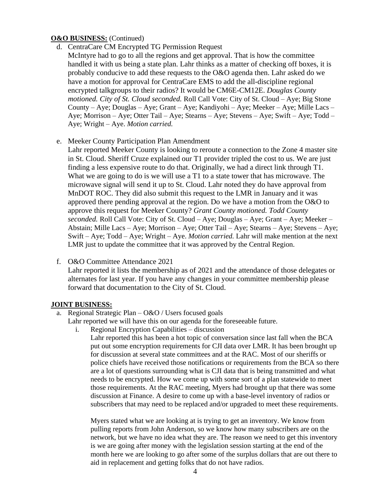## **O&O BUSINESS:** (Continued)

- d. CentraCare CM Encrypted TG Permission Request
- McIntyre had to go to all the regions and get approval. That is how the committee handled it with us being a state plan. Lahr thinks as a matter of checking off boxes, it is probably conducive to add these requests to the O&O agenda then. Lahr asked do we have a motion for approval for CentraCare EMS to add the all-discipline regional encrypted talkgroups to their radios? It would be CM6E-CM12E. *Douglas County motioned. City of St. Cloud seconded.* Roll Call Vote: City of St. Cloud – Aye; Big Stone County – Aye; Douglas – Aye; Grant – Aye; Kandiyohi – Aye; Meeker – Aye; Mille Lacs – Aye; Morrison – Aye; Otter Tail – Aye; Stearns – Aye; Stevens – Aye; Swift – Aye; Todd – Aye; Wright – Aye. *Motion carried.*
- e. Meeker County Participation Plan Amendment

Lahr reported Meeker County is looking to reroute a connection to the Zone 4 master site in St. Cloud. Sheriff Cruze explained our T1 provider tripled the cost to us. We are just finding a less expensive route to do that. Originally, we had a direct link through T1. What we are going to do is we will use a T1 to a state tower that has microwave. The microwave signal will send it up to St. Cloud. Lahr noted they do have approval from MnDOT ROC. They did also submit this request to the LMR in January and it was approved there pending approval at the region. Do we have a motion from the O&O to approve this request for Meeker County? *Grant County motioned. Todd County seconded.* Roll Call Vote: City of St. Cloud – Aye; Douglas – Aye; Grant – Aye; Meeker – Abstain; Mille Lacs – Aye; Morrison – Aye; Otter Tail – Aye; Stearns – Aye; Stevens – Aye; Swift – Aye; Todd – Aye; Wright – Aye. *Motion carried.* Lahr will make mention at the next LMR just to update the committee that it was approved by the Central Region.

f. O&O Committee Attendance 2021

Lahr reported it lists the membership as of 2021 and the attendance of those delegates or alternates for last year. If you have any changes in your committee membership please forward that documentation to the City of St. Cloud.

## **JOINT BUSINESS:**

- a. Regional Strategic Plan  $-\frac{0 & 0}{1}$  Users focused goals
	- Lahr reported we will have this on our agenda for the foreseeable future.
		- i. Regional Encryption Capabilities discussion

Lahr reported this has been a hot topic of conversation since last fall when the BCA put out some encryption requirements for CJI data over LMR. It has been brought up for discussion at several state committees and at the RAC. Most of our sheriffs or police chiefs have received those notifications or requirements from the BCA so there are a lot of questions surrounding what is CJI data that is being transmitted and what needs to be encrypted. How we come up with some sort of a plan statewide to meet those requirements. At the RAC meeting, Myers had brought up that there was some discussion at Finance. A desire to come up with a base-level inventory of radios or subscribers that may need to be replaced and/or upgraded to meet these requirements.

Myers stated what we are looking at is trying to get an inventory. We know from pulling reports from John Anderson, so we know how many subscribers are on the network, but we have no idea what they are. The reason we need to get this inventory is we are going after money with the legislation session starting at the end of the month here we are looking to go after some of the surplus dollars that are out there to aid in replacement and getting folks that do not have radios.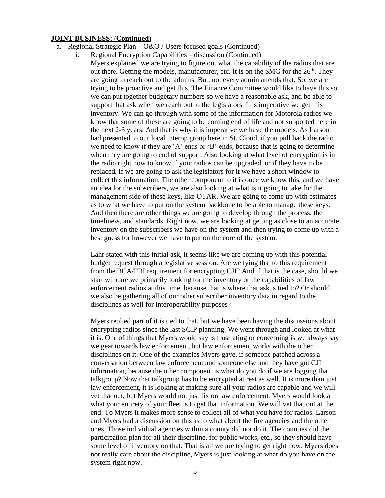- a. Regional Strategic Plan  $O&O$  / Users focused goals (Continued)
	- i. Regional Encryption Capabilities discussion (Continued) Myers explained we are trying to figure out what the capability of the radios that are out there. Getting the models, manufacturer, etc. It is on the SMG for the  $26<sup>th</sup>$ . They are going to reach out to the admins. But, not every admin attends that. So, we are trying to be proactive and get this. The Finance Committee would like to have this so we can put together budgetary numbers so we have a reasonable ask, and be able to support that ask when we reach out to the legislators. It is imperative we get this inventory. We can go through with some of the information for Motorola radios we know that some of these are going to be coming end of life and not supported here in the next 2-3 years. And that is why it is imperative we have the models. As Larson had presented to our local interop group here in St. Cloud, if you pull back the radio we need to know if they are 'A' ends or 'B' ends, because that is going to determine when they are going to end of support. Also looking at what level of encryption is in the radio right now to know if your radios can be upgraded, or if they have to be replaced. If we are going to ask the legislators for it we have a short window to collect this information. The other component to it is once we know this, and we have an idea for the subscribers, we are also looking at what is it going to take for the management side of these keys, like OTAR. We are going to come up with estimates as to what we have to put on the system backbone to be able to manage these keys. And then there are other things we are going to develop through the process, the timeliness, and standards. Right now, we are looking at getting as close to an accurate inventory on the subscribers we have on the system and then trying to come up with a best guess for however we have to put on the core of the system.

Lahr stated with this initial ask, it seems like we are coming up with this potential budget request through a legislative session. Are we tying that to this requirement from the BCA/FBI requirement for encrypting CJI? And if that is the case, should we start with are we primarily looking for the inventory or the capabilities of law enforcement radios at this time, because that is where that ask is tied to? Or should we also be gathering all of our other subscriber inventory data in regard to the disciplines as well for interoperability purposes?

Myers replied part of it is tied to that, but we have been having the discussions about encrypting radios since the last SCIP planning. We went through and looked at what it is. One of things that Myers would say is frustrating or concerning is we always say we gear towards law enforcement, but law enforcement works with the other disciplines on it. One of the examples Myers gave, if someone patched across a conversation between law enforcement and someone else and they have got CJI information, because the other component is what do you do if we are logging that talkgroup? Now that talkgroup has to be encrypted at rest as well. It is more than just law enforcement, it is looking at making sure all your radios are capable and we will vet that out, but Myers would not just fix on law enforcement. Myers would look at what your entirety of your fleet is to get that information. We will vet that out at the end. To Myers it makes more sense to collect all of what you have for radios. Larson and Myers had a discussion on this as to what about the fire agencies and the other ones. Those individual agencies within a county did not do it. The counties did the participation plan for all their discipline, for public works, etc., so they should have some level of inventory on that. That is all we are trying to get right now. Myers does not really care about the discipline, Myers is just looking at what do you have on the system right now.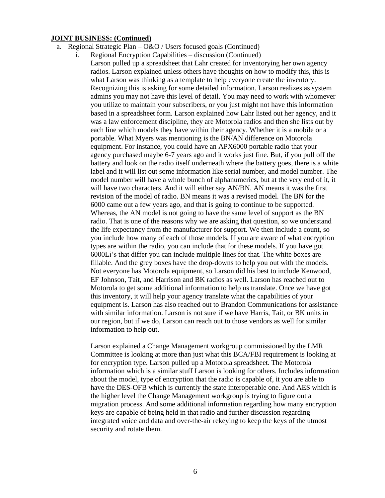- a. Regional Strategic Plan  $O&O$  / Users focused goals (Continued)
	- i. Regional Encryption Capabilities discussion (Continued) Larson pulled up a spreadsheet that Lahr created for inventorying her own agency radios. Larson explained unless others have thoughts on how to modify this, this is what Larson was thinking as a template to help everyone create the inventory. Recognizing this is asking for some detailed information. Larson realizes as system admins you may not have this level of detail. You may need to work with whomever you utilize to maintain your subscribers, or you just might not have this information based in a spreadsheet form. Larson explained how Lahr listed out her agency, and it was a law enforcement discipline, they are Motorola radios and then she lists out by each line which models they have within their agency. Whether it is a mobile or a portable. What Myers was mentioning is the BN/AN difference on Motorola equipment. For instance, you could have an APX6000 portable radio that your agency purchased maybe 6-7 years ago and it works just fine. But, if you pull off the battery and look on the radio itself underneath where the battery goes, there is a white label and it will list out some information like serial number, and model number. The model number will have a whole bunch of alphanumerics, but at the very end of it, it will have two characters. And it will either say AN/BN. AN means it was the first revision of the model of radio. BN means it was a revised model. The BN for the 6000 came out a few years ago, and that is going to continue to be supported. Whereas, the AN model is not going to have the same level of support as the BN radio. That is one of the reasons why we are asking that question, so we understand the life expectancy from the manufacturer for support. We then include a count, so you include how many of each of those models. If you are aware of what encryption types are within the radio, you can include that for these models. If you have got 6000Li's that differ you can include multiple lines for that. The white boxes are fillable. And the grey boxes have the drop-downs to help you out with the models. Not everyone has Motorola equipment, so Larson did his best to include Kenwood, EF Johnson, Tait, and Harrison and BK radios as well. Larson has reached out to Motorola to get some additional information to help us translate. Once we have got this inventory, it will help your agency translate what the capabilities of your equipment is. Larson has also reached out to Brandon Communications for assistance with similar information. Larson is not sure if we have Harris, Tait, or BK units in our region, but if we do, Larson can reach out to those vendors as well for similar information to help out.

Larson explained a Change Management workgroup commissioned by the LMR Committee is looking at more than just what this BCA/FBI requirement is looking at for encryption type. Larson pulled up a Motorola spreadsheet. The Motorola information which is a similar stuff Larson is looking for others. Includes information about the model, type of encryption that the radio is capable of, it you are able to have the DES-OFB which is currently the state interoperable one. And AES which is the higher level the Change Management workgroup is trying to figure out a migration process. And some additional information regarding how many encryption keys are capable of being held in that radio and further discussion regarding integrated voice and data and over-the-air rekeying to keep the keys of the utmost security and rotate them.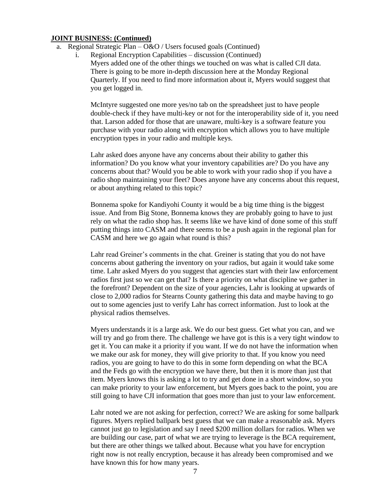- a. Regional Strategic Plan  $O&O$  / Users focused goals (Continued)
	- i. Regional Encryption Capabilities discussion (Continued) Myers added one of the other things we touched on was what is called CJI data. There is going to be more in-depth discussion here at the Monday Regional Quarterly. If you need to find more information about it, Myers would suggest that you get logged in.

McIntyre suggested one more yes/no tab on the spreadsheet just to have people double-check if they have multi-key or not for the interoperability side of it, you need that. Larson added for those that are unaware, multi-key is a software feature you purchase with your radio along with encryption which allows you to have multiple encryption types in your radio and multiple keys.

Lahr asked does anyone have any concerns about their ability to gather this information? Do you know what your inventory capabilities are? Do you have any concerns about that? Would you be able to work with your radio shop if you have a radio shop maintaining your fleet? Does anyone have any concerns about this request, or about anything related to this topic?

Bonnema spoke for Kandiyohi County it would be a big time thing is the biggest issue. And from Big Stone, Bonnema knows they are probably going to have to just rely on what the radio shop has. It seems like we have kind of done some of this stuff putting things into CASM and there seems to be a push again in the regional plan for CASM and here we go again what round is this?

Lahr read Greiner's comments in the chat. Greiner is stating that you do not have concerns about gathering the inventory on your radios, but again it would take some time. Lahr asked Myers do you suggest that agencies start with their law enforcement radios first just so we can get that? Is there a priority on what discipline we gather in the forefront? Dependent on the size of your agencies, Lahr is looking at upwards of close to 2,000 radios for Stearns County gathering this data and maybe having to go out to some agencies just to verify Lahr has correct information. Just to look at the physical radios themselves.

Myers understands it is a large ask. We do our best guess. Get what you can, and we will try and go from there. The challenge we have got is this is a very tight window to get it. You can make it a priority if you want. If we do not have the information when we make our ask for money, they will give priority to that. If you know you need radios, you are going to have to do this in some form depending on what the BCA and the Feds go with the encryption we have there, but then it is more than just that item. Myers knows this is asking a lot to try and get done in a short window, so you can make priority to your law enforcement, but Myers goes back to the point, you are still going to have CJI information that goes more than just to your law enforcement.

Lahr noted we are not asking for perfection, correct? We are asking for some ballpark figures. Myers replied ballpark best guess that we can make a reasonable ask. Myers cannot just go to legislation and say I need \$200 million dollars for radios. When we are building our case, part of what we are trying to leverage is the BCA requirement, but there are other things we talked about. Because what you have for encryption right now is not really encryption, because it has already been compromised and we have known this for how many years.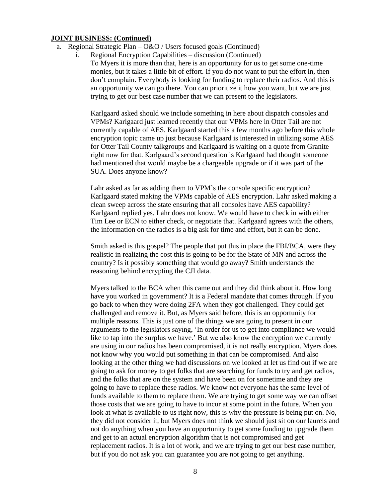- a. Regional Strategic Plan  $O&O$  / Users focused goals (Continued)
	- i. Regional Encryption Capabilities discussion (Continued) To Myers it is more than that, here is an opportunity for us to get some one-time monies, but it takes a little bit of effort. If you do not want to put the effort in, then don't complain. Everybody is looking for funding to replace their radios. And this is an opportunity we can go there. You can prioritize it how you want, but we are just trying to get our best case number that we can present to the legislators.

Karlgaard asked should we include something in here about dispatch consoles and VPMs? Karlgaard just learned recently that our VPMs here in Otter Tail are not currently capable of AES. Karlgaard started this a few months ago before this whole encryption topic came up just because Karlgaard is interested in utilizing some AES for Otter Tail County talkgroups and Karlgaard is waiting on a quote from Granite right now for that. Karlgaard's second question is Karlgaard had thought someone had mentioned that would maybe be a chargeable upgrade or if it was part of the SUA. Does anyone know?

Lahr asked as far as adding them to VPM's the console specific encryption? Karlgaard stated making the VPMs capable of AES encryption. Lahr asked making a clean sweep across the state ensuring that all consoles have AES capability? Karlgaard replied yes. Lahr does not know. We would have to check in with either Tim Lee or ECN to either check, or negotiate that. Karlgaard agrees with the others, the information on the radios is a big ask for time and effort, but it can be done.

Smith asked is this gospel? The people that put this in place the FBI/BCA, were they realistic in realizing the cost this is going to be for the State of MN and across the country? Is it possibly something that would go away? Smith understands the reasoning behind encrypting the CJI data.

Myers talked to the BCA when this came out and they did think about it. How long have you worked in government? It is a Federal mandate that comes through. If you go back to when they were doing 2FA when they got challenged. They could get challenged and remove it. But, as Myers said before, this is an opportunity for multiple reasons. This is just one of the things we are going to present in our arguments to the legislators saying, 'In order for us to get into compliance we would like to tap into the surplus we have.' But we also know the encryption we currently are using in our radios has been compromised, it is not really encryption. Myers does not know why you would put something in that can be compromised. And also looking at the other thing we had discussions on we looked at let us find out if we are going to ask for money to get folks that are searching for funds to try and get radios, and the folks that are on the system and have been on for sometime and they are going to have to replace these radios. We know not everyone has the same level of funds available to them to replace them. We are trying to get some way we can offset those costs that we are going to have to incur at some point in the future. When you look at what is available to us right now, this is why the pressure is being put on. No, they did not consider it, but Myers does not think we should just sit on our laurels and not do anything when you have an opportunity to get some funding to upgrade them and get to an actual encryption algorithm that is not compromised and get replacement radios. It is a lot of work, and we are trying to get our best case number, but if you do not ask you can guarantee you are not going to get anything.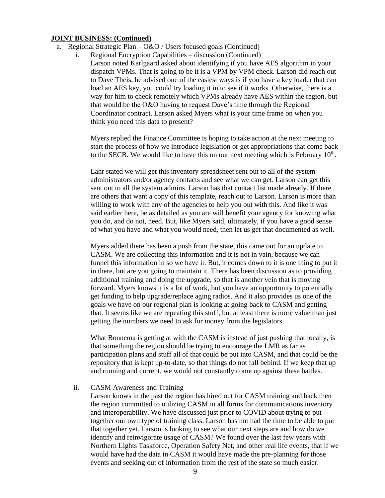- a. Regional Strategic Plan  $O&O$  / Users focused goals (Continued)
	- i. Regional Encryption Capabilities discussion (Continued)
		- Larson noted Karlgaard asked about identifying if you have AES algorithm in your dispatch VPMs. That is going to be it is a VPM by VPM check. Larson did reach out to Dave Theis, he advised one of the easiest ways is if you have a key loader that can load an AES key, you could try loading it in to see if it works. Otherwise, there is a way for him to check remotely which VPMs already have AES within the region, but that would be the O&O having to request Dave's time through the Regional Coordinator contract. Larson asked Myers what is your time frame on when you think you need this data to present?

Myers replied the Finance Committee is hoping to take action at the next meeting to start the process of how we introduce legislation or get appropriations that come back to the SECB. We would like to have this on our next meeting which is February  $10<sup>th</sup>$ .

Lahr stated we will get this inventory spreadsheet sent out to all of the system administrators and/or agency contacts and see what we can get. Larson can get this sent out to all the system admins. Larson has that contact list made already. If there are others that want a copy of this template, reach out to Larson. Larson is more than willing to work with any of the agencies to help you out with this. And like it was said earlier here, be as detailed as you are will benefit your agency for knowing what you do, and do not, need. But, like Myers said, ultimately, if you have a good sense of what you have and what you would need, then let us get that documented as well.

Myers added there has been a push from the state, this came out for an update to CASM. We are collecting this information and it is not in vain, because we can funnel this information in so we have it. But, it comes down to it is one thing to put it in there, but are you going to maintain it. There has been discussion as to providing additional training and doing the upgrade, so that is another vein that is moving forward. Myers knows it is a lot of work, but you have an opportunity to potentially get funding to help upgrade/replace aging radios. And it also provides us one of the goals we have on our regional plan is looking at going back to CASM and getting that. It seems like we are repeating this stuff, but at least there is more value than just getting the numbers we need to ask for money from the legislators.

What Bonnema is getting at with the CASM is instead of just pushing that locally, is that something the region should be trying to encourage the LMR as far as participation plans and stuff all of that could be put into CASM, and that could be the repository that is kept up-to-date, so that things do not fall behind. If we keep that up and running and current, we would not constantly come up against these battles.

#### ii. CASM Awareness and Training

Larson knows in the past the region has hired out for CASM training and back then the region committed to utilizing CASM in all forms for communications inventory and interoperability. We have discussed just prior to COVID about trying to put together our own type of training class. Larson has not had the time to be able to put that together yet. Larson is looking to see what our next steps are and how do we identify and reinvigorate usage of CASM? We found over the last few years with Northern Lights Taskforce, Operation Safety Net, and other real life events, that if we would have had the data in CASM it would have made the pre-planning for those events and seeking out of information from the rest of the state so much easier.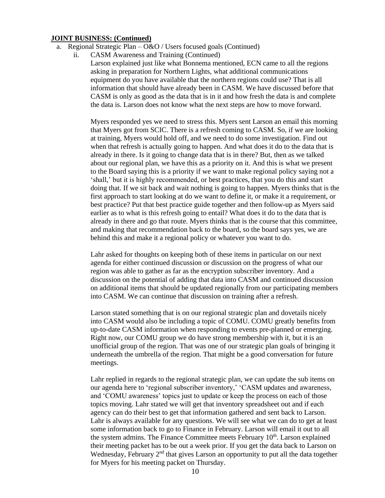- a. Regional Strategic Plan  $O&O$  / Users focused goals (Continued)
	- ii. CASM Awareness and Training (Continued)

Larson explained just like what Bonnema mentioned, ECN came to all the regions asking in preparation for Northern Lights, what additional communications equipment do you have available that the northern regions could use? That is all information that should have already been in CASM. We have discussed before that CASM is only as good as the data that is in it and how fresh the data is and complete the data is. Larson does not know what the next steps are how to move forward.

Myers responded yes we need to stress this. Myers sent Larson an email this morning that Myers got from SCIC. There is a refresh coming to CASM. So, if we are looking at training, Myers would hold off, and we need to do some investigation. Find out when that refresh is actually going to happen. And what does it do to the data that is already in there. Is it going to change data that is in there? But, then as we talked about our regional plan, we have this as a priority on it. And this is what we present to the Board saying this is a priority if we want to make regional policy saying not a 'shall,' but it is highly recommended, or best practices, that you do this and start doing that. If we sit back and wait nothing is going to happen. Myers thinks that is the first approach to start looking at do we want to define it, or make it a requirement, or best practice? Put that best practice guide together and then follow-up as Myers said earlier as to what is this refresh going to entail? What does it do to the data that is already in there and go that route. Myers thinks that is the course that this committee, and making that recommendation back to the board, so the board says yes, we are behind this and make it a regional policy or whatever you want to do.

Lahr asked for thoughts on keeping both of these items in particular on our next agenda for either continued discussion or discussion on the progress of what our region was able to gather as far as the encryption subscriber inventory. And a discussion on the potential of adding that data into CASM and continued discussion on additional items that should be updated regionally from our participating members into CASM. We can continue that discussion on training after a refresh.

Larson stated something that is on our regional strategic plan and dovetails nicely into CASM would also be including a topic of COMU. COMU greatly benefits from up-to-date CASM information when responding to events pre-planned or emerging. Right now, our COMU group we do have strong membership with it, but it is an unofficial group of the region. That was one of our strategic plan goals of bringing it underneath the umbrella of the region. That might be a good conversation for future meetings.

Lahr replied in regards to the regional strategic plan, we can update the sub items on our agenda here to 'regional subscriber inventory,' 'CASM updates and awareness, and 'COMU awareness' topics just to update or keep the process on each of those topics moving. Lahr stated we will get that inventory spreadsheet out and if each agency can do their best to get that information gathered and sent back to Larson. Lahr is always available for any questions. We will see what we can do to get at least some information back to go to Finance in February. Larson will email it out to all the system admins. The Finance Committee meets February 10<sup>th</sup>. Larson explained their meeting packet has to be out a week prior. If you get the data back to Larson on Wednesday, February  $2<sup>nd</sup>$  that gives Larson an opportunity to put all the data together for Myers for his meeting packet on Thursday.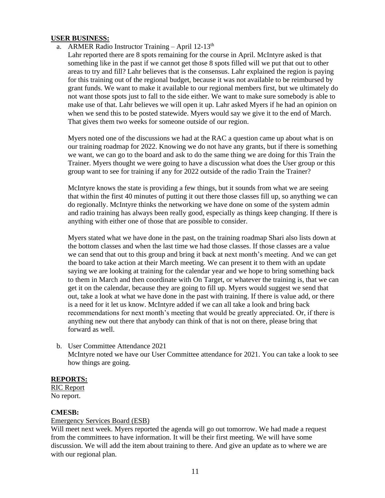## **USER BUSINESS:**

- a. ARMER Radio Instructor Training April  $12-13<sup>th</sup>$ 
	- Lahr reported there are 8 spots remaining for the course in April. McIntyre asked is that something like in the past if we cannot get those 8 spots filled will we put that out to other areas to try and fill? Lahr believes that is the consensus. Lahr explained the region is paying for this training out of the regional budget, because it was not available to be reimbursed by grant funds. We want to make it available to our regional members first, but we ultimately do not want those spots just to fall to the side either. We want to make sure somebody is able to make use of that. Lahr believes we will open it up. Lahr asked Myers if he had an opinion on when we send this to be posted statewide. Myers would say we give it to the end of March. That gives them two weeks for someone outside of our region.

Myers noted one of the discussions we had at the RAC a question came up about what is on our training roadmap for 2022. Knowing we do not have any grants, but if there is something we want, we can go to the board and ask to do the same thing we are doing for this Train the Trainer. Myers thought we were going to have a discussion what does the User group or this group want to see for training if any for 2022 outside of the radio Train the Trainer?

McIntyre knows the state is providing a few things, but it sounds from what we are seeing that within the first 40 minutes of putting it out there those classes fill up, so anything we can do regionally. McIntyre thinks the networking we have done on some of the system admin and radio training has always been really good, especially as things keep changing. If there is anything with either one of those that are possible to consider.

Myers stated what we have done in the past, on the training roadmap Shari also lists down at the bottom classes and when the last time we had those classes. If those classes are a value we can send that out to this group and bring it back at next month's meeting. And we can get the board to take action at their March meeting. We can present it to them with an update saying we are looking at training for the calendar year and we hope to bring something back to them in March and then coordinate with On Target, or whatever the training is, that we can get it on the calendar, because they are going to fill up. Myers would suggest we send that out, take a look at what we have done in the past with training. If there is value add, or there is a need for it let us know. McIntyre added if we can all take a look and bring back recommendations for next month's meeting that would be greatly appreciated. Or, if there is anything new out there that anybody can think of that is not on there, please bring that forward as well.

b. User Committee Attendance 2021 McIntyre noted we have our User Committee attendance for 2021. You can take a look to see how things are going.

## **REPORTS:**

RIC Report No report.

## **CMESB:**

#### Emergency Services Board (ESB)

Will meet next week. Myers reported the agenda will go out tomorrow. We had made a request from the committees to have information. It will be their first meeting. We will have some discussion. We will add the item about training to there. And give an update as to where we are with our regional plan.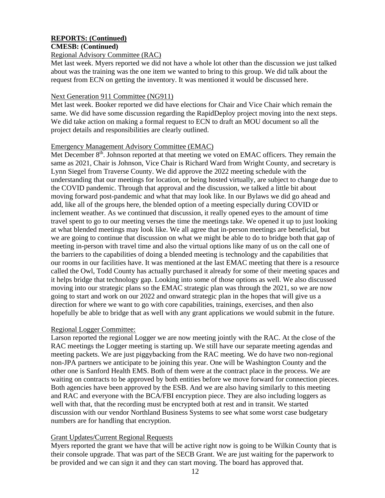## **REPORTS: (Continued)**

#### **CMESB: (Continued)**

#### Regional Advisory Committee (RAC)

Met last week. Myers reported we did not have a whole lot other than the discussion we just talked about was the training was the one item we wanted to bring to this group. We did talk about the request from ECN on getting the inventory. It was mentioned it would be discussed here.

#### Next Generation 911 Committee (NG911)

Met last week. Booker reported we did have elections for Chair and Vice Chair which remain the same. We did have some discussion regarding the RapidDeploy project moving into the next steps. We did take action on making a formal request to ECN to draft an MOU document so all the project details and responsibilities are clearly outlined.

#### Emergency Management Advisory Committee (EMAC)

Met December  $8<sup>th</sup>$ . Johnson reported at that meeting we voted on EMAC officers. They remain the same as 2021, Chair is Johnson, Vice Chair is Richard Ward from Wright County, and secretary is Lynn Siegel from Traverse County. We did approve the 2022 meeting schedule with the understanding that our meetings for location, or being hosted virtually, are subject to change due to the COVID pandemic. Through that approval and the discussion, we talked a little bit about moving forward post-pandemic and what that may look like. In our Bylaws we did go ahead and add, like all of the groups here, the blended option of a meeting especially during COVID or inclement weather. As we continued that discussion, it really opened eyes to the amount of time travel spent to go to our meeting verses the time the meetings take. We opened it up to just looking at what blended meetings may look like. We all agree that in-person meetings are beneficial, but we are going to continue that discussion on what we might be able to do to bridge both that gap of meeting in-person with travel time and also the virtual options like many of us on the call one of the barriers to the capabilities of doing a blended meeting is technology and the capabilities that our rooms in our facilities have. It was mentioned at the last EMAC meeting that there is a resource called the Owl, Todd County has actually purchased it already for some of their meeting spaces and it helps bridge that technology gap. Looking into some of those options as well. We also discussed moving into our strategic plans so the EMAC strategic plan was through the 2021, so we are now going to start and work on our 2022 and onward strategic plan in the hopes that will give us a direction for where we want to go with core capabilities, trainings, exercises, and then also hopefully be able to bridge that as well with any grant applications we would submit in the future.

## Regional Logger Committee:

Larson reported the regional Logger we are now meeting jointly with the RAC. At the close of the RAC meetings the Logger meeting is starting up. We still have our separate meeting agendas and meeting packets. We are just piggybacking from the RAC meeting. We do have two non-regional non-JPA partners we anticipate to be joining this year. One will be Washington County and the other one is Sanford Health EMS. Both of them were at the contract place in the process. We are waiting on contracts to be approved by both entities before we move forward for connection pieces. Both agencies have been approved by the ESB. And we are also having similarly to this meeting and RAC and everyone with the BCA/FBI encryption piece. They are also including loggers as well with that, that the recording must be encrypted both at rest and in transit. We started discussion with our vendor Northland Business Systems to see what some worst case budgetary numbers are for handling that encryption.

## Grant Updates/Current Regional Requests

Myers reported the grant we have that will be active right now is going to be Wilkin County that is their console upgrade. That was part of the SECB Grant. We are just waiting for the paperwork to be provided and we can sign it and they can start moving. The board has approved that.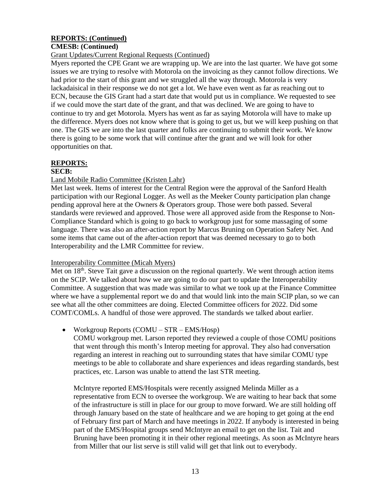# **REPORTS: (Continued)**

## **CMESB: (Continued)**

## Grant Updates/Current Regional Requests (Continued)

Myers reported the CPE Grant we are wrapping up. We are into the last quarter. We have got some issues we are trying to resolve with Motorola on the invoicing as they cannot follow directions. We had prior to the start of this grant and we struggled all the way through. Motorola is very lackadaisical in their response we do not get a lot. We have even went as far as reaching out to ECN, because the GIS Grant had a start date that would put us in compliance. We requested to see if we could move the start date of the grant, and that was declined. We are going to have to continue to try and get Motorola. Myers has went as far as saying Motorola will have to make up the difference. Myers does not know where that is going to get us, but we will keep pushing on that one. The GIS we are into the last quarter and folks are continuing to submit their work. We know there is going to be some work that will continue after the grant and we will look for other opportunities on that.

## **REPORTS:**

#### **SECB:**

# Land Mobile Radio Committee (Kristen Lahr)

Met last week. Items of interest for the Central Region were the approval of the Sanford Health participation with our Regional Logger. As well as the Meeker County participation plan change pending approval here at the Owners & Operators group. Those were both passed. Several standards were reviewed and approved. Those were all approved aside from the Response to Non-Compliance Standard which is going to go back to workgroup just for some massaging of some language. There was also an after-action report by Marcus Bruning on Operation Safety Net. And some items that came out of the after-action report that was deemed necessary to go to both Interoperability and the LMR Committee for review.

## Interoperability Committee (Micah Myers)

Met on  $18<sup>th</sup>$ . Steve Tait gave a discussion on the regional quarterly. We went through action items on the SCIP. We talked about how we are going to do our part to update the Interoperability Committee. A suggestion that was made was similar to what we took up at the Finance Committee where we have a supplemental report we do and that would link into the main SCIP plan, so we can see what all the other committees are doing. Elected Committee officers for 2022. Did some COMT/COMLs. A handful of those were approved. The standards we talked about earlier.

## • Workgroup Reports (COMU – STR – EMS/Hosp)

COMU workgroup met. Larson reported they reviewed a couple of those COMU positions that went through this month's Interop meeting for approval. They also had conversation regarding an interest in reaching out to surrounding states that have similar COMU type meetings to be able to collaborate and share experiences and ideas regarding standards, best practices, etc. Larson was unable to attend the last STR meeting.

McIntyre reported EMS/Hospitals were recently assigned Melinda Miller as a representative from ECN to oversee the workgroup. We are waiting to hear back that some of the infrastructure is still in place for our group to move forward. We are still holding off through January based on the state of healthcare and we are hoping to get going at the end of February first part of March and have meetings in 2022. If anybody is interested in being part of the EMS/Hospital groups send McIntyre an email to get on the list. Tait and Bruning have been promoting it in their other regional meetings. As soon as McIntyre hears from Miller that our list serve is still valid will get that link out to everybody.